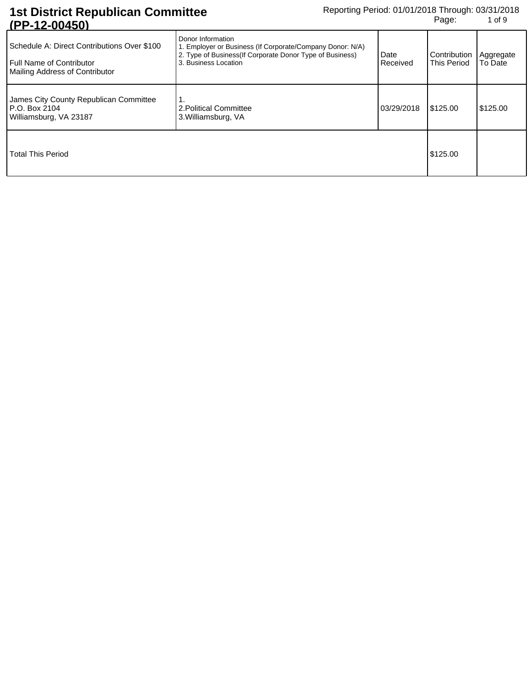| $\mathbf{u}$ is the set of $\mathbf{u}$                                                                          |                                                                                                                                                                     |                  |                                    |                      |
|------------------------------------------------------------------------------------------------------------------|---------------------------------------------------------------------------------------------------------------------------------------------------------------------|------------------|------------------------------------|----------------------|
| Schedule A: Direct Contributions Over \$100<br><b>Full Name of Contributor</b><br>Mailing Address of Contributor | Donor Information<br>1. Employer or Business (If Corporate/Company Donor: N/A)<br>2. Type of Business (If Corporate Donor Type of Business)<br>3. Business Location | Date<br>Received | Contribution<br><b>This Period</b> | Aggregate<br>To Date |
| James City County Republican Committee<br><b>P.O. Box 2104</b><br>Williamsburg, VA 23187                         | . .<br>2. Political Committee<br>3. Williamsburg, VA                                                                                                                | 03/29/2018       | \$125.00                           | \$125.00             |
| Total This Period                                                                                                |                                                                                                                                                                     |                  | \$125.00                           |                      |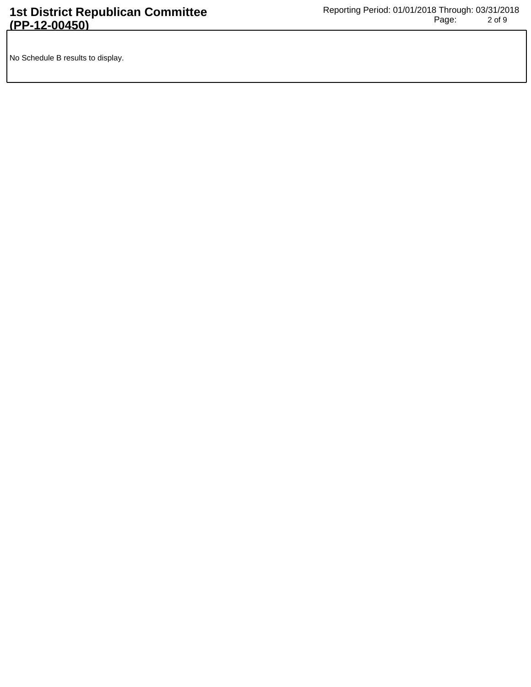No Schedule B results to display.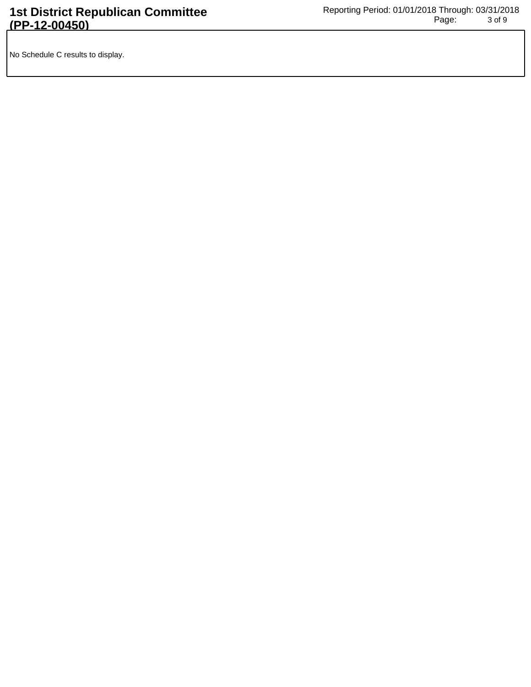No Schedule C results to display.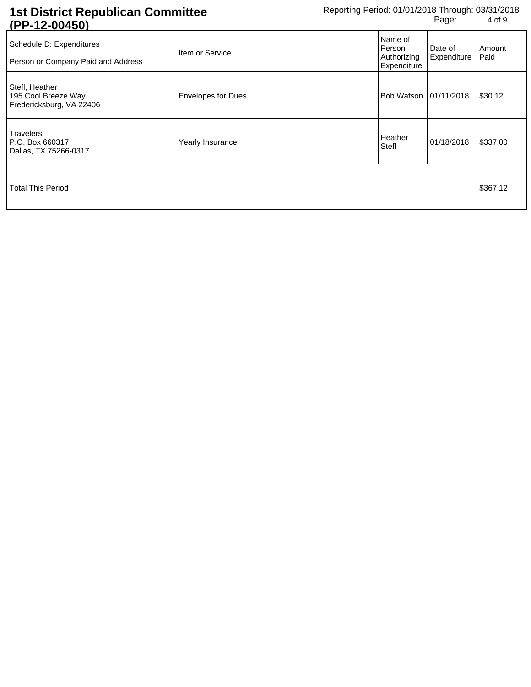| U I TIZTUUTJUI                                                    |                           |                                                 |                        |                |
|-------------------------------------------------------------------|---------------------------|-------------------------------------------------|------------------------|----------------|
| Schedule D: Expenditures<br>Person or Company Paid and Address    | Item or Service           | Name of<br>Person<br>Authorizing<br>Expenditure | Date of<br>Expenditure | Amount<br>Paid |
| Stefl, Heather<br>195 Cool Breeze Way<br>Fredericksburg, VA 22406 | <b>Envelopes for Dues</b> | Bob Watson 101/11/2018                          |                        | \$30.12        |
| Travelers<br>P.O. Box 660317<br>Dallas, TX 75266-0317             | Yearly Insurance          | Heather<br>Stefl                                | 01/18/2018             | \$337.00       |
| Total This Period                                                 |                           |                                                 |                        | \$367.12       |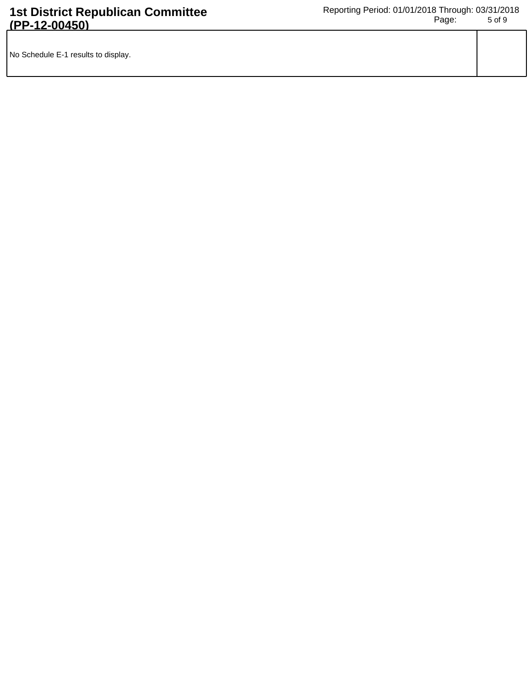| No Schedule E-1 results to display. |  |
|-------------------------------------|--|
|                                     |  |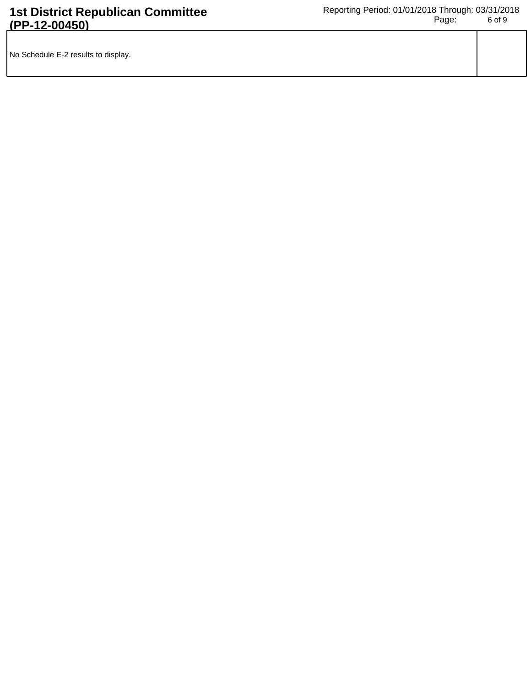| No Schedule E-2 results to display. |  |
|-------------------------------------|--|
|                                     |  |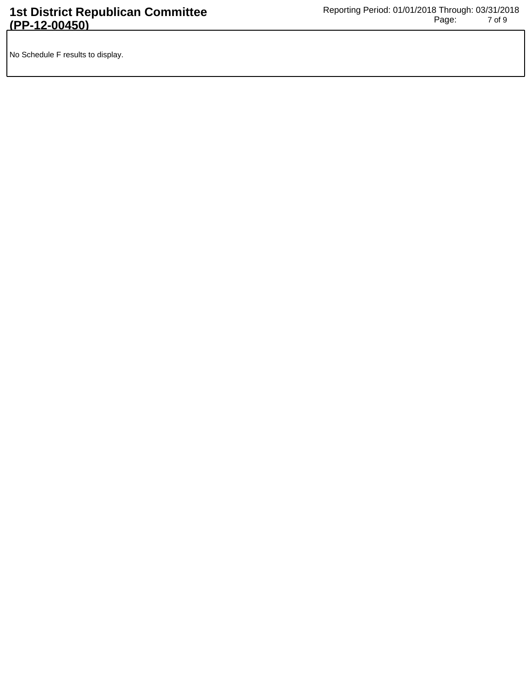No Schedule F results to display.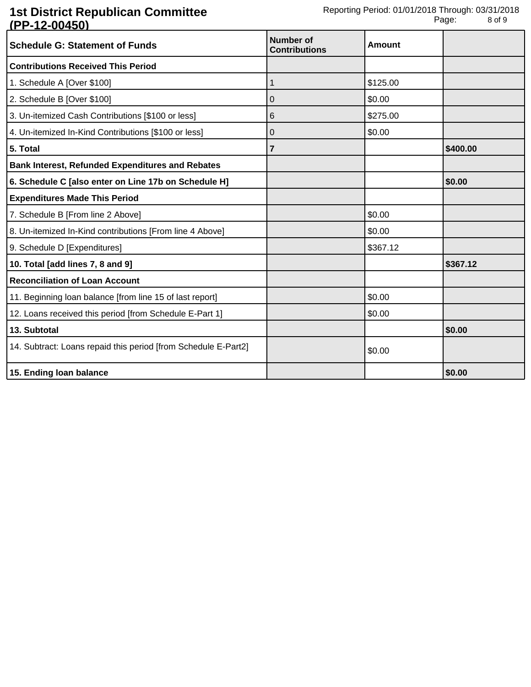| <u>ULLE VUTVU</u><br><b>Schedule G: Statement of Funds</b>     | Number of<br><b>Contributions</b> | <b>Amount</b> |          |
|----------------------------------------------------------------|-----------------------------------|---------------|----------|
| <b>Contributions Received This Period</b>                      |                                   |               |          |
| 1. Schedule A [Over \$100]                                     | 1                                 | \$125.00      |          |
| 2. Schedule B [Over \$100]                                     | 0                                 | \$0.00        |          |
| 3. Un-itemized Cash Contributions [\$100 or less]              | 6                                 | \$275.00      |          |
| 4. Un-itemized In-Kind Contributions [\$100 or less]           | 0                                 | \$0.00        |          |
| 5. Total                                                       | 7                                 |               | \$400.00 |
| <b>Bank Interest, Refunded Expenditures and Rebates</b>        |                                   |               |          |
| 6. Schedule C [also enter on Line 17b on Schedule H]           |                                   |               | \$0.00   |
| <b>Expenditures Made This Period</b>                           |                                   |               |          |
| 7. Schedule B [From line 2 Above]                              |                                   | \$0.00        |          |
| 8. Un-itemized In-Kind contributions [From line 4 Above]       |                                   | \$0.00        |          |
| 9. Schedule D [Expenditures]                                   |                                   | \$367.12      |          |
| 10. Total [add lines 7, 8 and 9]                               |                                   |               | \$367.12 |
| <b>Reconciliation of Loan Account</b>                          |                                   |               |          |
| 11. Beginning loan balance [from line 15 of last report]       |                                   | \$0.00        |          |
| 12. Loans received this period [from Schedule E-Part 1]        |                                   | \$0.00        |          |
| 13. Subtotal                                                   |                                   |               | \$0.00   |
| 14. Subtract: Loans repaid this period [from Schedule E-Part2] |                                   | \$0.00        |          |
| 15. Ending loan balance                                        |                                   |               | \$0.00   |